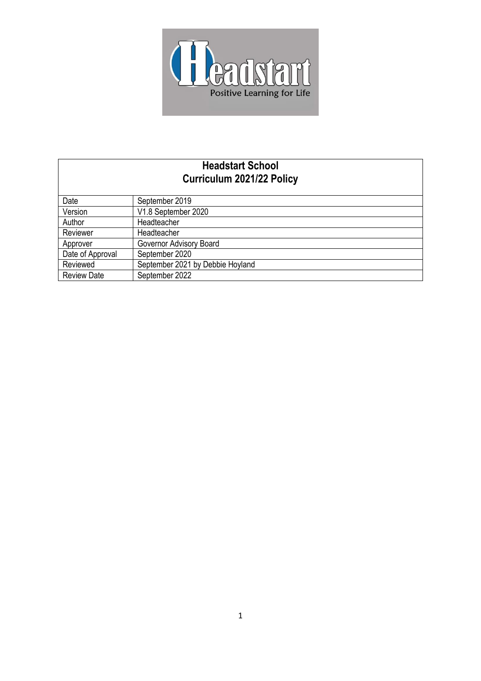

# **Headstart School Curriculum 2021/22 Policy**

| Date               | September 2019                   |
|--------------------|----------------------------------|
| Version            | V1.8 September 2020              |
| Author             | Headteacher                      |
| Reviewer           | Headteacher                      |
| Approver           | Governor Advisory Board          |
| Date of Approval   | September 2020                   |
| Reviewed           | September 2021 by Debbie Hoyland |
| <b>Review Date</b> | September 2022                   |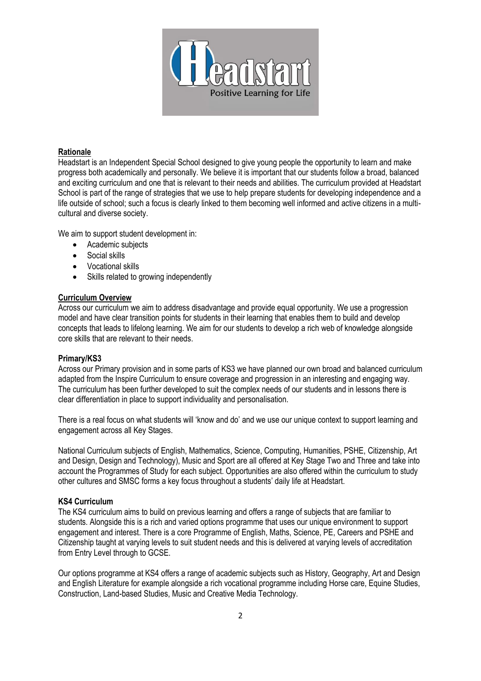

#### **Rationale**

Headstart is an Independent Special School designed to give young people the opportunity to learn and make progress both academically and personally. We believe it is important that our students follow a broad, balanced and exciting curriculum and one that is relevant to their needs and abilities. The curriculum provided at Headstart School is part of the range of strategies that we use to help prepare students for developing independence and a life outside of school; such a focus is clearly linked to them becoming well informed and active citizens in a multicultural and diverse society.

We aim to support student development in:

- Academic subjects
- Social skills
- Vocational skills
- Skills related to growing independently

#### **Curriculum Overview**

Across our curriculum we aim to address disadvantage and provide equal opportunity. We use a progression model and have clear transition points for students in their learning that enables them to build and develop concepts that leads to lifelong learning. We aim for our students to develop a rich web of knowledge alongside core skills that are relevant to their needs.

### **Primary/KS3**

Across our Primary provision and in some parts of KS3 we have planned our own broad and balanced curriculum adapted from the Inspire Curriculum to ensure coverage and progression in an interesting and engaging way. The curriculum has been further developed to suit the complex needs of our students and in lessons there is clear differentiation in place to support individuality and personalisation.

There is a real focus on what students will 'know and do' and we use our unique context to support learning and engagement across all Key Stages.

National Curriculum subjects of English, Mathematics, Science, Computing, Humanities, PSHE, Citizenship, Art and Design, Design and Technology), Music and Sport are all offered at Key Stage Two and Three and take into account the Programmes of Study for each subject. Opportunities are also offered within the curriculum to study other cultures and SMSC forms a key focus throughout a students' daily life at Headstart.

#### **KS4 Curriculum**

The KS4 curriculum aims to build on previous learning and offers a range of subjects that are familiar to students. Alongside this is a rich and varied options programme that uses our unique environment to support engagement and interest. There is a core Programme of English, Maths, Science, PE, Careers and PSHE and Citizenship taught at varying levels to suit student needs and this is delivered at varying levels of accreditation from Entry Level through to GCSE.

Our options programme at KS4 offers a range of academic subjects such as History, Geography, Art and Design and English Literature for example alongside a rich vocational programme including Horse care, Equine Studies, Construction, Land-based Studies, Music and Creative Media Technology.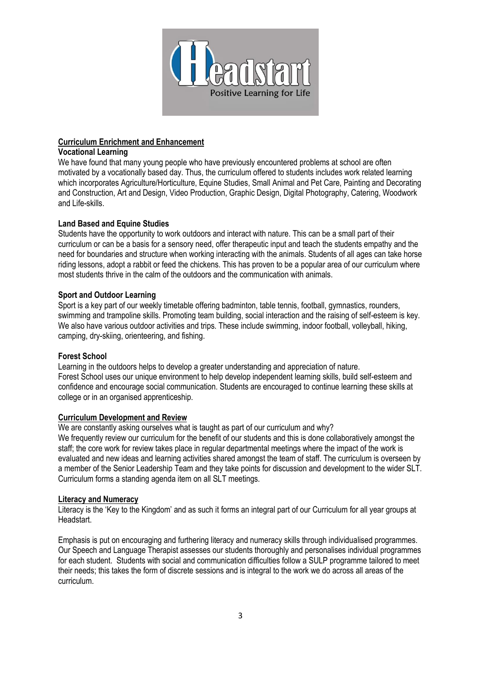

## **Curriculum Enrichment and Enhancement**

### **Vocational Learning**

We have found that many young people who have previously encountered problems at school are often motivated by a vocationally based day. Thus, the curriculum offered to students includes work related learning which incorporates Agriculture/Horticulture, Equine Studies, Small Animal and Pet Care, Painting and Decorating and Construction, Art and Design, Video Production, Graphic Design, Digital Photography, Catering, Woodwork and Life-skills.

## **Land Based and Equine Studies**

Students have the opportunity to work outdoors and interact with nature. This can be a small part of their curriculum or can be a basis for a sensory need, offer therapeutic input and teach the students empathy and the need for boundaries and structure when working interacting with the animals. Students of all ages can take horse riding lessons, adopt a rabbit or feed the chickens. This has proven to be a popular area of our curriculum where most students thrive in the calm of the outdoors and the communication with animals.

### **Sport and Outdoor Learning**

Sport is a key part of our weekly timetable offering badminton, table tennis, football, gymnastics, rounders, swimming and trampoline skills. Promoting team building, social interaction and the raising of self-esteem is key. We also have various outdoor activities and trips. These include swimming, indoor football, volleyball, hiking, camping, dry-skiing, orienteering, and fishing.

### **Forest School**

Learning in the outdoors helps to develop a greater understanding and appreciation of nature. Forest School uses our unique environment to help develop independent learning skills, build self-esteem and confidence and encourage social communication. Students are encouraged to continue learning these skills at college or in an organised apprenticeship.

## **Curriculum Development and Review**

We are constantly asking ourselves what is taught as part of our curriculum and why? We frequently review our curriculum for the benefit of our students and this is done collaboratively amongst the staff; the core work for review takes place in regular departmental meetings where the impact of the work is evaluated and new ideas and learning activities shared amongst the team of staff. The curriculum is overseen by a member of the Senior Leadership Team and they take points for discussion and development to the wider SLT. Curriculum forms a standing agenda item on all SLT meetings.

### **Literacy and Numeracy**

Literacy is the 'Key to the Kingdom' and as such it forms an integral part of our Curriculum for all year groups at Headstart.

Emphasis is put on encouraging and furthering literacy and numeracy skills through individualised programmes. Our Speech and Language Therapist assesses our students thoroughly and personalises individual programmes for each student. Students with social and communication difficulties follow a SULP programme tailored to meet their needs; this takes the form of discrete sessions and is integral to the work we do across all areas of the curriculum.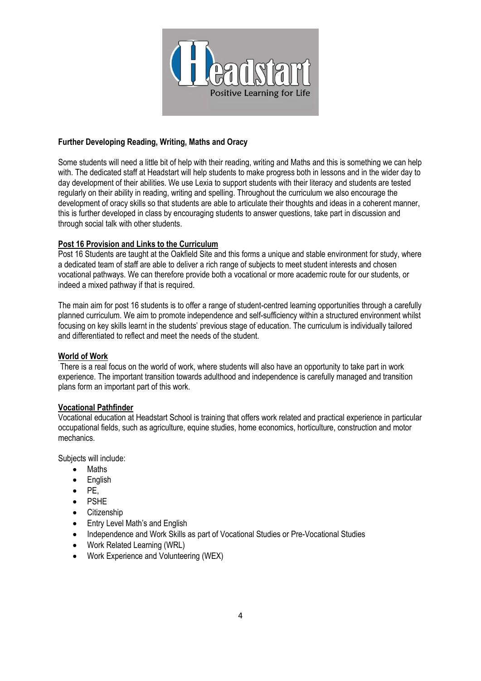

## **Further Developing Reading, Writing, Maths and Oracy**

Some students will need a little bit of help with their reading, writing and Maths and this is something we can help with. The dedicated staff at Headstart will help students to make progress both in lessons and in the wider day to day development of their abilities. We use Lexia to support students with their literacy and students are tested regularly on their ability in reading, writing and spelling. Throughout the curriculum we also encourage the development of oracy skills so that students are able to articulate their thoughts and ideas in a coherent manner, this is further developed in class by encouraging students to answer questions, take part in discussion and through social talk with other students.

## **Post 16 Provision and Links to the Curriculum**

Post 16 Students are taught at the Oakfield Site and this forms a unique and stable environment for study, where a dedicated team of staff are able to deliver a rich range of subjects to meet student interests and chosen vocational pathways. We can therefore provide both a vocational or more academic route for our students, or indeed a mixed pathway if that is required.

The main aim for post 16 students is to offer a range of student-centred learning opportunities through a carefully planned curriculum. We aim to promote independence and self-sufficiency within a structured environment whilst focusing on key skills learnt in the students' previous stage of education. The curriculum is individually tailored and differentiated to reflect and meet the needs of the student.

### **World of Work**

There is a real focus on the world of work, where students will also have an opportunity to take part in work experience. The important transition towards adulthood and independence is carefully managed and transition plans form an important part of this work.

### **Vocational Pathfinder**

Vocational education at Headstart School is training that offers work related and practical experience in particular occupational fields, such as agriculture, equine studies, home economics, horticulture, construction and motor mechanics.

Subjects will include:

- Maths
- English
- PE,
- PSHE
- Citizenship
- Entry Level Math's and English
- Independence and Work Skills as part of Vocational Studies or Pre-Vocational Studies
- Work Related Learning (WRL)
- Work Experience and Volunteering (WEX)